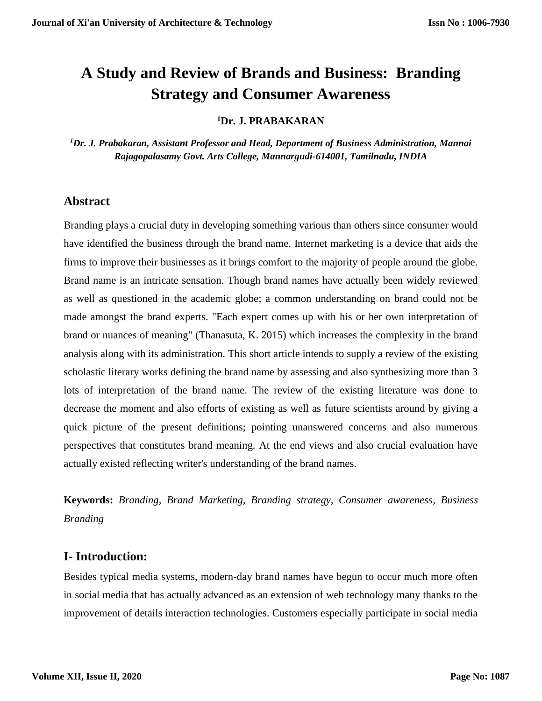# **A Study and Review of Brands and Business: Branding Strategy and Consumer Awareness**

**<sup>1</sup>Dr. J. PRABAKARAN**

*<sup>1</sup>Dr. J. Prabakaran, Assistant Professor and Head, Department of Business Administration, Mannai Rajagopalasamy Govt. Arts College, Mannargudi-614001, Tamilnadu, INDIA*

## **Abstract**

Branding plays a crucial duty in developing something various than others since consumer would have identified the business through the brand name. Internet marketing is a device that aids the firms to improve their businesses as it brings comfort to the majority of people around the globe. Brand name is an intricate sensation. Though brand names have actually been widely reviewed as well as questioned in the academic globe; a common understanding on brand could not be made amongst the brand experts. "Each expert comes up with his or her own interpretation of brand or nuances of meaning" (Thanasuta, K. 2015) which increases the complexity in the brand analysis along with its administration. This short article intends to supply a review of the existing scholastic literary works defining the brand name by assessing and also synthesizing more than 3 lots of interpretation of the brand name. The review of the existing literature was done to decrease the moment and also efforts of existing as well as future scientists around by giving a quick picture of the present definitions; pointing unanswered concerns and also numerous perspectives that constitutes brand meaning. At the end views and also crucial evaluation have actually existed reflecting writer's understanding of the brand names.

**Keywords:** *Branding, Brand Marketing, Branding strategy, Consumer awareness, Business Branding*

## **I- Introduction:**

Besides typical media systems, modern-day brand names have begun to occur much more often in social media that has actually advanced as an extension of web technology many thanks to the improvement of details interaction technologies. Customers especially participate in social media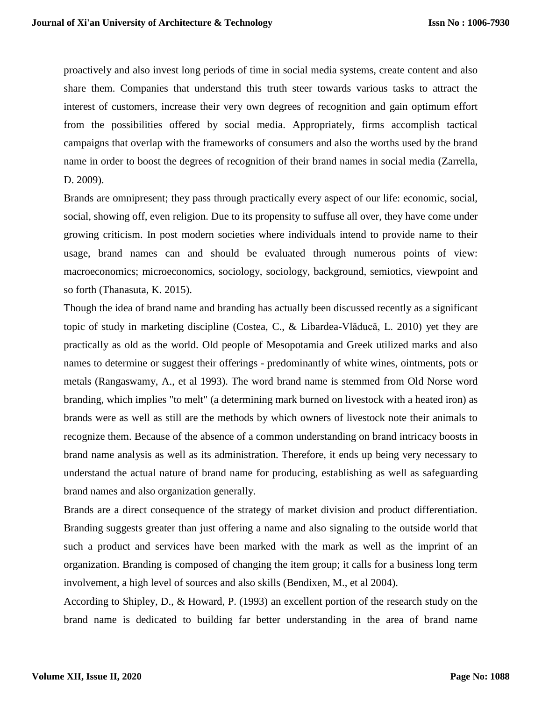proactively and also invest long periods of time in social media systems, create content and also share them. Companies that understand this truth steer towards various tasks to attract the interest of customers, increase their very own degrees of recognition and gain optimum effort from the possibilities offered by social media. Appropriately, firms accomplish tactical campaigns that overlap with the frameworks of consumers and also the worths used by the brand name in order to boost the degrees of recognition of their brand names in social media (Zarrella, D. 2009).

Brands are omnipresent; they pass through practically every aspect of our life: economic, social, social, showing off, even religion. Due to its propensity to suffuse all over, they have come under growing criticism. In post modern societies where individuals intend to provide name to their usage, brand names can and should be evaluated through numerous points of view: macroeconomics; microeconomics, sociology, sociology, background, semiotics, viewpoint and so forth (Thanasuta, K. 2015).

Though the idea of brand name and branding has actually been discussed recently as a significant topic of study in marketing discipline (Costea, C., & Libardea-Vlăducă, L. 2010) yet they are practically as old as the world. Old people of Mesopotamia and Greek utilized marks and also names to determine or suggest their offerings - predominantly of white wines, ointments, pots or metals (Rangaswamy, A., et al 1993). The word brand name is stemmed from Old Norse word branding, which implies "to melt" (a determining mark burned on livestock with a heated iron) as brands were as well as still are the methods by which owners of livestock note their animals to recognize them. Because of the absence of a common understanding on brand intricacy boosts in brand name analysis as well as its administration. Therefore, it ends up being very necessary to understand the actual nature of brand name for producing, establishing as well as safeguarding brand names and also organization generally.

Brands are a direct consequence of the strategy of market division and product differentiation. Branding suggests greater than just offering a name and also signaling to the outside world that such a product and services have been marked with the mark as well as the imprint of an organization. Branding is composed of changing the item group; it calls for a business long term involvement, a high level of sources and also skills (Bendixen, M., et al 2004).

According to Shipley, D., & Howard, P. (1993) an excellent portion of the research study on the brand name is dedicated to building far better understanding in the area of brand name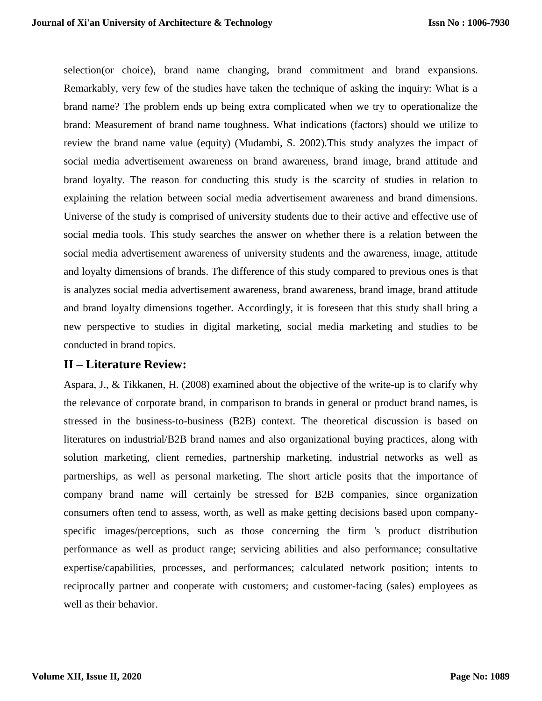selection(or choice), brand name changing, brand commitment and brand expansions. Remarkably, very few of the studies have taken the technique of asking the inquiry: What is a brand name? The problem ends up being extra complicated when we try to operationalize the brand: Measurement of brand name toughness. What indications (factors) should we utilize to review the brand name value (equity) (Mudambi, S. 2002).This study analyzes the impact of social media advertisement awareness on brand awareness, brand image, brand attitude and brand loyalty. The reason for conducting this study is the scarcity of studies in relation to explaining the relation between social media advertisement awareness and brand dimensions. Universe of the study is comprised of university students due to their active and effective use of social media tools. This study searches the answer on whether there is a relation between the social media advertisement awareness of university students and the awareness, image, attitude and loyalty dimensions of brands. The difference of this study compared to previous ones is that is analyzes social media advertisement awareness, brand awareness, brand image, brand attitude and brand loyalty dimensions together. Accordingly, it is foreseen that this study shall bring a new perspective to studies in digital marketing, social media marketing and studies to be conducted in brand topics.

#### **II – Literature Review:**

Aspara, J., & Tikkanen, H. (2008) examined about the objective of the write-up is to clarify why the relevance of corporate brand, in comparison to brands in general or product brand names, is stressed in the business-to-business (B2B) context. The theoretical discussion is based on literatures on industrial/B2B brand names and also organizational buying practices, along with solution marketing, client remedies, partnership marketing, industrial networks as well as partnerships, as well as personal marketing. The short article posits that the importance of company brand name will certainly be stressed for B2B companies, since organization consumers often tend to assess, worth, as well as make getting decisions based upon companyspecific images/perceptions, such as those concerning the firm 's product distribution performance as well as product range; servicing abilities and also performance; consultative expertise/capabilities, processes, and performances; calculated network position; intents to reciprocally partner and cooperate with customers; and customer-facing (sales) employees as well as their behavior.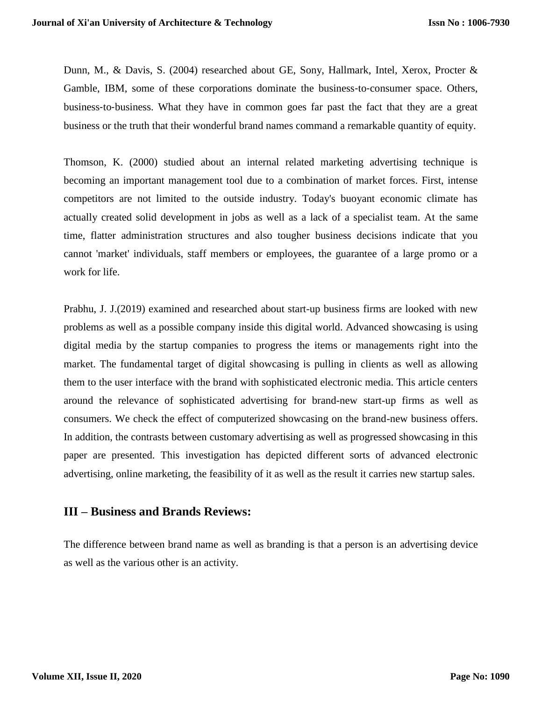Dunn, M., & Davis, S. (2004) researched about GE, Sony, Hallmark, Intel, Xerox, Procter & Gamble, IBM, some of these corporations dominate the business-to-consumer space. Others, business‐to‐business. What they have in common goes far past the fact that they are a great business or the truth that their wonderful brand names command a remarkable quantity of equity.

Thomson, K. (2000) studied about an internal related marketing advertising technique is becoming an important management tool due to a combination of market forces. First, intense competitors are not limited to the outside industry. Today's buoyant economic climate has actually created solid development in jobs as well as a lack of a specialist team. At the same time, flatter administration structures and also tougher business decisions indicate that you cannot 'market' individuals, staff members or employees, the guarantee of a large promo or a work for life.

Prabhu, J. J.(2019) examined and researched about start-up business firms are looked with new problems as well as a possible company inside this digital world. Advanced showcasing is using digital media by the startup companies to progress the items or managements right into the market. The fundamental target of digital showcasing is pulling in clients as well as allowing them to the user interface with the brand with sophisticated electronic media. This article centers around the relevance of sophisticated advertising for brand-new start-up firms as well as consumers. We check the effect of computerized showcasing on the brand-new business offers. In addition, the contrasts between customary advertising as well as progressed showcasing in this paper are presented. This investigation has depicted different sorts of advanced electronic advertising, online marketing, the feasibility of it as well as the result it carries new startup sales.

### **III – Business and Brands Reviews:**

The difference between brand name as well as branding is that a person is an advertising device as well as the various other is an activity.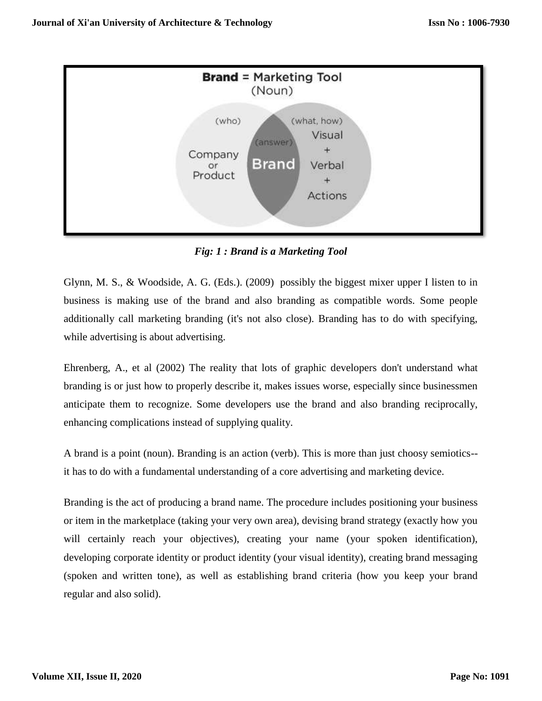

*Fig: 1 : Brand is a Marketing Tool*

Glynn, M. S., & Woodside, A. G. (Eds.). (2009) possibly the biggest mixer upper I listen to in business is making use of the brand and also branding as compatible words. Some people additionally call marketing branding (it's not also close). Branding has to do with specifying, while advertising is about advertising.

Ehrenberg, A., et al (2002) The reality that lots of graphic developers don't understand what branding is or just how to properly describe it, makes issues worse, especially since businessmen anticipate them to recognize. Some developers use the brand and also branding reciprocally, enhancing complications instead of supplying quality.

A brand is a point (noun). Branding is an action (verb). This is more than just choosy semiotics- it has to do with a fundamental understanding of a core advertising and marketing device.

Branding is the act of producing a brand name. The procedure includes positioning your business or item in the marketplace (taking your very own area), devising brand strategy (exactly how you will certainly reach your objectives), creating your name (your spoken identification), developing corporate identity or product identity (your visual identity), creating brand messaging (spoken and written tone), as well as establishing brand criteria (how you keep your brand regular and also solid).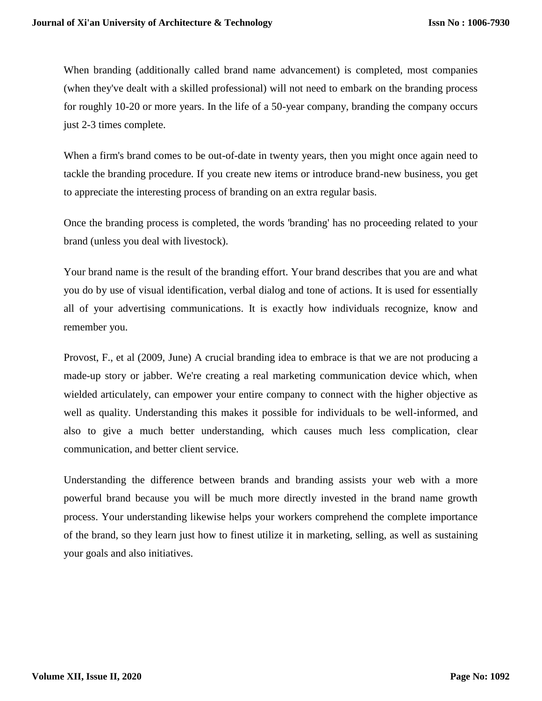When branding (additionally called brand name advancement) is completed, most companies (when they've dealt with a skilled professional) will not need to embark on the branding process for roughly 10-20 or more years. In the life of a 50-year company, branding the company occurs just 2-3 times complete.

When a firm's brand comes to be out-of-date in twenty years, then you might once again need to tackle the branding procedure. If you create new items or introduce brand-new business, you get to appreciate the interesting process of branding on an extra regular basis.

Once the branding process is completed, the words 'branding' has no proceeding related to your brand (unless you deal with livestock).

Your brand name is the result of the branding effort. Your brand describes that you are and what you do by use of visual identification, verbal dialog and tone of actions. It is used for essentially all of your advertising communications. It is exactly how individuals recognize, know and remember you.

Provost, F., et al (2009, June) A crucial branding idea to embrace is that we are not producing a made-up story or jabber. We're creating a real marketing communication device which, when wielded articulately, can empower your entire company to connect with the higher objective as well as quality. Understanding this makes it possible for individuals to be well-informed, and also to give a much better understanding, which causes much less complication, clear communication, and better client service.

Understanding the difference between brands and branding assists your web with a more powerful brand because you will be much more directly invested in the brand name growth process. Your understanding likewise helps your workers comprehend the complete importance of the brand, so they learn just how to finest utilize it in marketing, selling, as well as sustaining your goals and also initiatives.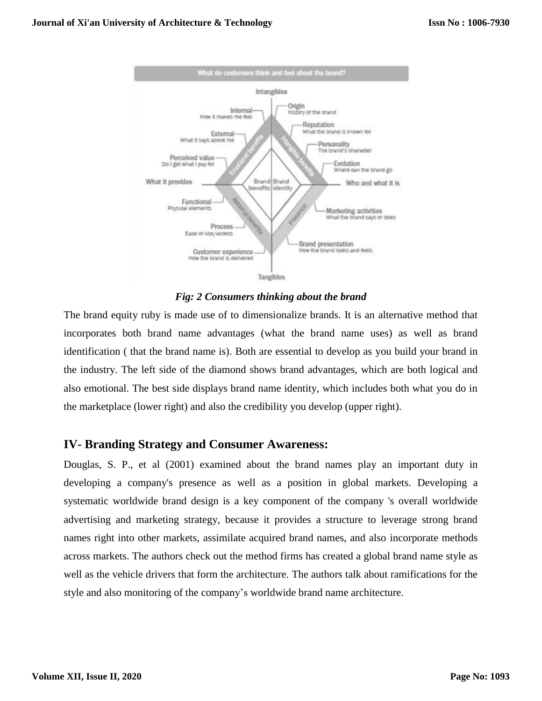

*Fig: 2 Consumers thinking about the brand*

The brand equity ruby is made use of to dimensionalize brands. It is an alternative method that incorporates both brand name advantages (what the brand name uses) as well as brand identification ( that the brand name is). Both are essential to develop as you build your brand in the industry. The left side of the diamond shows brand advantages, which are both logical and also emotional. The best side displays brand name identity, which includes both what you do in the marketplace (lower right) and also the credibility you develop (upper right).

## **IV- Branding Strategy and Consumer Awareness:**

Douglas, S. P., et al (2001) examined about the brand names play an important duty in developing a company's presence as well as a position in global markets. Developing a systematic worldwide brand design is a key component of the company 's overall worldwide advertising and marketing strategy, because it provides a structure to leverage strong brand names right into other markets, assimilate acquired brand names, and also incorporate methods across markets. The authors check out the method firms has created a global brand name style as well as the vehicle drivers that form the architecture. The authors talk about ramifications for the style and also monitoring of the company's worldwide brand name architecture.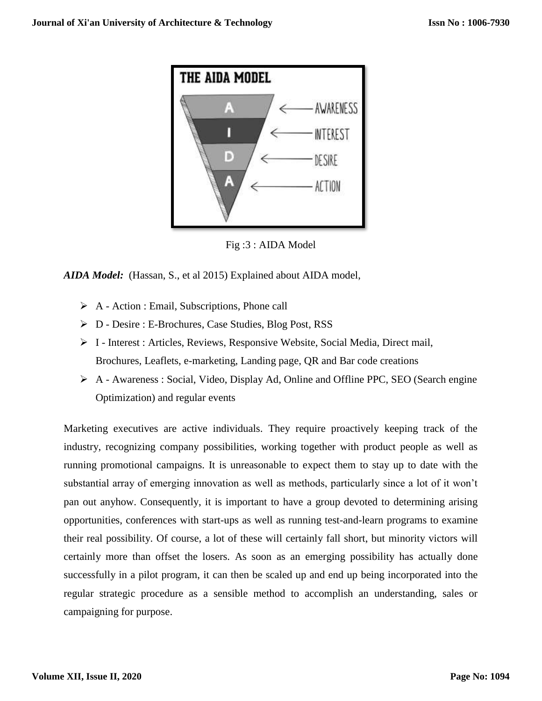

Fig :3 : AIDA Model

*AIDA Model:* (Hassan, S., et al 2015) Explained about AIDA model,

- $\triangleright$  A Action : Email, Subscriptions, Phone call
- D Desire : E-Brochures, Case Studies, Blog Post, RSS
- $\triangleright$  I Interest : Articles, Reviews, Responsive Website, Social Media, Direct mail, Brochures, Leaflets, e-marketing, Landing page, QR and Bar code creations
- A Awareness : Social, Video, Display Ad, Online and Offline PPC, SEO (Search engine Optimization) and regular events

Marketing executives are active individuals. They require proactively keeping track of the industry, recognizing company possibilities, working together with product people as well as running promotional campaigns. It is unreasonable to expect them to stay up to date with the substantial array of emerging innovation as well as methods, particularly since a lot of it won't pan out anyhow. Consequently, it is important to have a group devoted to determining arising opportunities, conferences with start-ups as well as running test-and-learn programs to examine their real possibility. Of course, a lot of these will certainly fall short, but minority victors will certainly more than offset the losers. As soon as an emerging possibility has actually done successfully in a pilot program, it can then be scaled up and end up being incorporated into the regular strategic procedure as a sensible method to accomplish an understanding, sales or campaigning for purpose.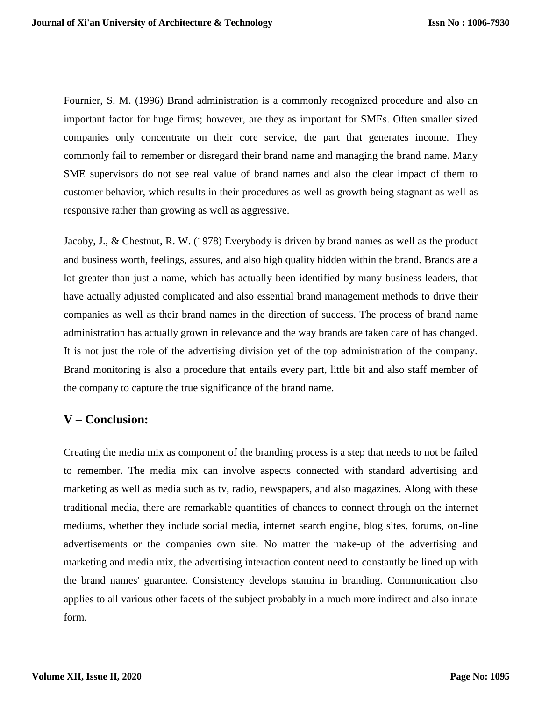Fournier, S. M. (1996) Brand administration is a commonly recognized procedure and also an important factor for huge firms; however, are they as important for SMEs. Often smaller sized companies only concentrate on their core service, the part that generates income. They commonly fail to remember or disregard their brand name and managing the brand name. Many SME supervisors do not see real value of brand names and also the clear impact of them to customer behavior, which results in their procedures as well as growth being stagnant as well as responsive rather than growing as well as aggressive.

Jacoby, J., & Chestnut, R. W. (1978) Everybody is driven by brand names as well as the product and business worth, feelings, assures, and also high quality hidden within the brand. Brands are a lot greater than just a name, which has actually been identified by many business leaders, that have actually adjusted complicated and also essential brand management methods to drive their companies as well as their brand names in the direction of success. The process of brand name administration has actually grown in relevance and the way brands are taken care of has changed. It is not just the role of the advertising division yet of the top administration of the company. Brand monitoring is also a procedure that entails every part, little bit and also staff member of the company to capture the true significance of the brand name.

## **V – Conclusion:**

Creating the media mix as component of the branding process is a step that needs to not be failed to remember. The media mix can involve aspects connected with standard advertising and marketing as well as media such as tv, radio, newspapers, and also magazines. Along with these traditional media, there are remarkable quantities of chances to connect through on the internet mediums, whether they include social media, internet search engine, blog sites, forums, on-line advertisements or the companies own site. No matter the make-up of the advertising and marketing and media mix, the advertising interaction content need to constantly be lined up with the brand names' guarantee. Consistency develops stamina in branding. Communication also applies to all various other facets of the subject probably in a much more indirect and also innate form.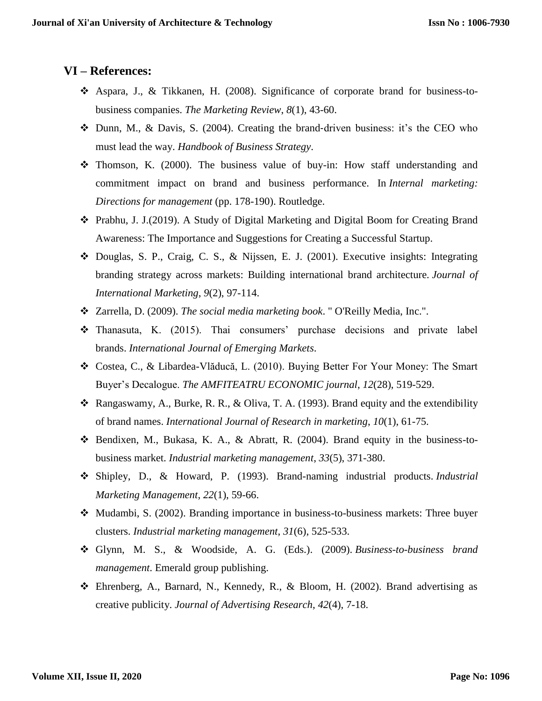## **VI – References:**

- $\div$  Aspara, J., & Tikkanen, H. (2008). Significance of corporate brand for business-tobusiness companies. *The Marketing Review*, *8*(1), 43-60.
- Dunn, M., & Davis, S. (2004). Creating the brand‐driven business: it's the CEO who must lead the way. *Handbook of Business Strategy*.
- $\div$  Thomson, K. (2000). The business value of buy-in: How staff understanding and commitment impact on brand and business performance. In *Internal marketing: Directions for management* (pp. 178-190). Routledge.
- Prabhu, J. J.(2019). A Study of Digital Marketing and Digital Boom for Creating Brand Awareness: The Importance and Suggestions for Creating a Successful Startup.
- $\div$  Douglas, S. P., Craig, C. S., & Nijssen, E. J. (2001). Executive insights: Integrating branding strategy across markets: Building international brand architecture. *Journal of International Marketing*, *9*(2), 97-114.
- Zarrella, D. (2009). *The social media marketing book*. " O'Reilly Media, Inc.".
- Thanasuta, K. (2015). Thai consumers' purchase decisions and private label brands. *International Journal of Emerging Markets*.
- Costea, C., & Libardea-Vlăducă, L. (2010). Buying Better For Your Money: The Smart Buyer's Decalogue. *The AMFITEATRU ECONOMIC journal*, *12*(28), 519-529.
- $\triangleleft$  Rangaswamy, A., Burke, R. R., & Oliva, T. A. (1993). Brand equity and the extendibility of brand names. *International Journal of Research in marketing*, *10*(1), 61-75.
- Bendixen, M., Bukasa, K. A., & Abratt, R. (2004). Brand equity in the business-tobusiness market. *Industrial marketing management*, *33*(5), 371-380.
- Shipley, D., & Howard, P. (1993). Brand-naming industrial products. *Industrial Marketing Management*, *22*(1), 59-66.
- Mudambi, S. (2002). Branding importance in business-to-business markets: Three buyer clusters. *Industrial marketing management*, *31*(6), 525-533.
- Glynn, M. S., & Woodside, A. G. (Eds.). (2009). *Business-to-business brand management*. Emerald group publishing.
- Ehrenberg, A., Barnard, N., Kennedy, R., & Bloom, H. (2002). Brand advertising as creative publicity. *Journal of Advertising Research*, *42*(4), 7-18.